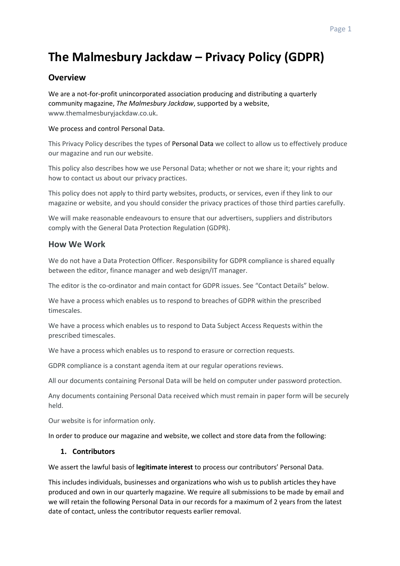# **The Malmesbury Jackdaw – Privacy Policy (GDPR)**

# **Overview**

We are a not-for-profit unincorporated association producing and distributing a quarterly community magazine, *The Malmesbury Jackdaw*, supported by a website, www.themalmesburyjackdaw.co.uk.

# We process and control Personal Data.

This Privacy Policy describes the types of Personal Data we collect to allow us to effectively produce our magazine and run our website.

This policy also describes how we use Personal Data; whether or not we share it; your rights and how to contact us about our privacy practices.

This policy does not apply to third party websites, products, or services, even if they link to our magazine or website, and you should consider the privacy practices of those third parties carefully.

We will make reasonable endeavours to ensure that our advertisers, suppliers and distributors comply with the General Data Protection Regulation (GDPR).

# **How We Work**

We do not have a Data Protection Officer. Responsibility for GDPR compliance is shared equally between the editor, finance manager and web design/IT manager.

The editor is the co-ordinator and main contact for GDPR issues. See "Contact Details" below.

We have a process which enables us to respond to breaches of GDPR within the prescribed timescales.

We have a process which enables us to respond to Data Subject Access Requests within the prescribed timescales.

We have a process which enables us to respond to erasure or correction requests.

GDPR compliance is a constant agenda item at our regular operations reviews.

All our documents containing Personal Data will be held on computer under password protection.

Any documents containing Personal Data received which must remain in paper form will be securely held.

Our website is for information only.

In order to produce our magazine and website, we collect and store data from the following:

# **1. Contributors**

We assert the lawful basis of **legitimate interest** to process our contributors' Personal Data.

This includes individuals, businesses and organizations who wish us to publish articles they have produced and own in our quarterly magazine. We require all submissions to be made by email and we will retain the following Personal Data in our records for a maximum of 2 years from the latest date of contact, unless the contributor requests earlier removal.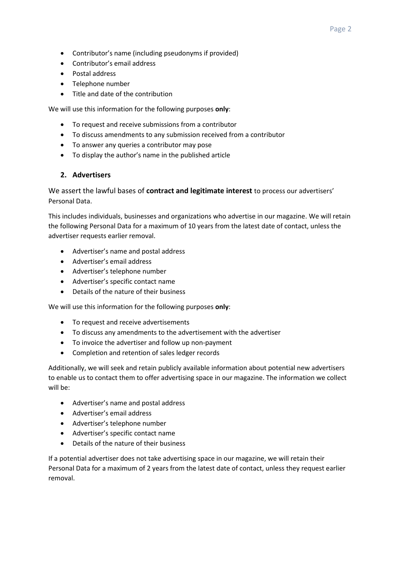- Contributor's name (including pseudonyms if provided)
- Contributor's email address
- Postal address
- Telephone number
- Title and date of the contribution

We will use this information for the following purposes **only**:

- To request and receive submissions from a contributor
- To discuss amendments to any submission received from a contributor
- To answer any queries a contributor may pose
- To display the author's name in the published article

#### **2. Advertisers**

We assert the lawful bases of **contract and legitimate interest** to process our advertisers' Personal Data.

This includes individuals, businesses and organizations who advertise in our magazine. We will retain the following Personal Data for a maximum of 10 years from the latest date of contact, unless the advertiser requests earlier removal.

- Advertiser's name and postal address
- Advertiser's email address
- Advertiser's telephone number
- Advertiser's specific contact name
- Details of the nature of their business

We will use this information for the following purposes **only**:

- To request and receive advertisements
- To discuss any amendments to the advertisement with the advertiser
- To invoice the advertiser and follow up non-payment
- Completion and retention of sales ledger records

Additionally, we will seek and retain publicly available information about potential new advertisers to enable us to contact them to offer advertising space in our magazine. The information we collect will be:

- Advertiser's name and postal address
- Advertiser's email address
- Advertiser's telephone number
- Advertiser's specific contact name
- Details of the nature of their business

If a potential advertiser does not take advertising space in our magazine, we will retain their Personal Data for a maximum of 2 years from the latest date of contact, unless they request earlier removal.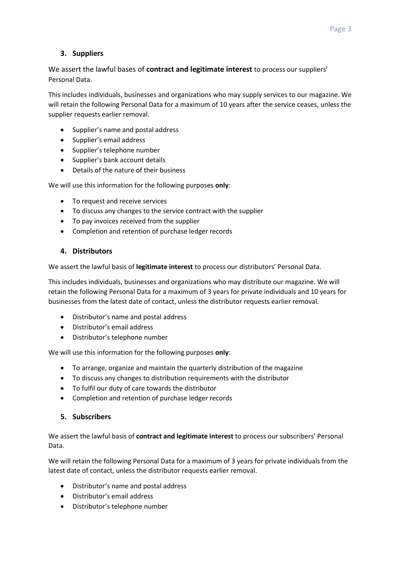# **3. Suppliers**

# We assert the lawful bases of **contract and legitimate interest** to process our suppliers' Personal Data.

This includes individuals, businesses and organizations who may supply services to our magazine. We will retain the following Personal Data for a maximum of 10 years after the service ceases, unless the supplier requests earlier removal.

- Supplier's name and postal address
- Supplier's email address
- Supplier's telephone number
- Supplier's bank account details
- Details of the nature of their business

We will use this information for the following purposes **only**:

- To request and receive services
- To discuss any changes to the service contract with the supplier
- To pay invoices received from the supplier
- Completion and retention of purchase ledger records

# **4. Distributors**

We assert the lawful basis of **legitimate interest** to process our distributors' Personal Data.

This includes individuals, businesses and organizations who may distribute our magazine. We will retain the following Personal Data for a maximum of 3 years for private individuals and 10 years for businesses from the latest date of contact, unless the distributor requests earlier removal.

- Distributor's name and postal address
- Distributor's email address
- Distributor's telephone number

We will use this information for the following purposes **only**:

- To arrange, organize and maintain the quarterly distribution of the magazine
- To discuss any changes to distribution requirements with the distributor
- To fulfil our duty of care towards the distributor
- Completion and retention of purchase ledger records

# **5. Subscribers**

We assert the lawful basis of **contract and legitimate interest** to process our subscribers' Personal Data.

We will retain the following Personal Data for a maximum of 3 years for private individuals from the latest date of contact, unless the distributor requests earlier removal.

- Distributor's name and postal address
- Distributor's email address
- Distributor's telephone number